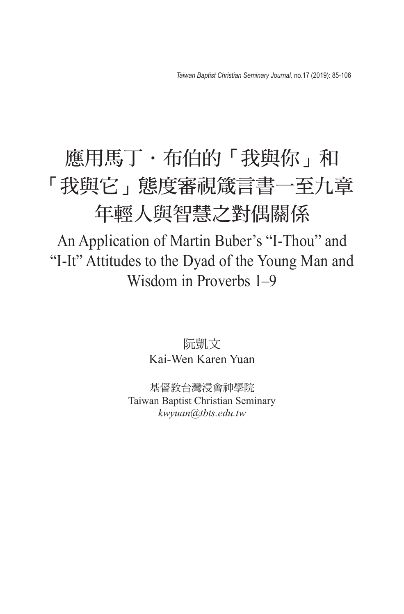## 應用馬丁·布伯的「我與你」和 「我與它」態度審視箴言書一至九章 年輕人與智慧之對偶關係

An Application of Martin Buber's "I-Thou" and "I-It" Attitudes to the Dyad of the Young Man and Wisdom in Proverbs 1–9

> 阮凱文 Kai-Wen Karen Yuan

基督教台灣浸會神學院 Taiwan Baptist Christian Seminary *kwyuan@tbts.edu.tw*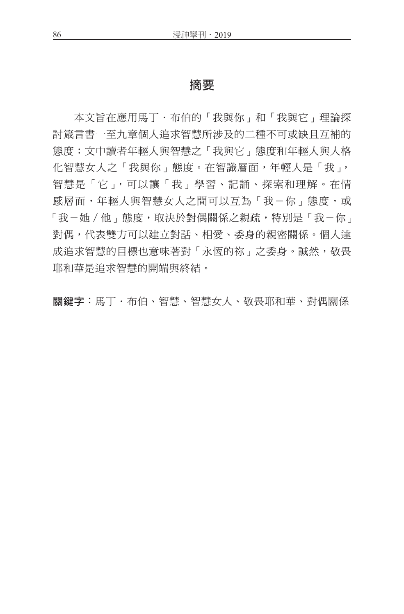## 摘要

本文旨在應用馬丁.布伯的「我與你」和「我與它」理論探 討箴言書一至九章個人追求智慧所涉及的二種不可或缺且互補的 態度:文中讀者年輕人與智慧之「我與它」態度和年輕人與人格 化智慧女人之「我與你」態度。在智識層面,年輕人是「我」, 智慧是「它」,可以讓「我」學習、記誦、探索和理解。在情 感層面,年輕人與智慧女人之間可以互為「我-你」態度,或 「我-她 / 他﹐熊度,取決於對偶關係之親疏,特別是「我-你」 對偶,代表雙方可以建立對話、相愛、委身的親密關係。個人達 成追求智慧的目標也意味著對「永恆的祢」之委身。誠然,敬畏 耶和華是追求智慧的開端與終結。

關鍵字:馬丁.布伯、智慧、智慧女人、敬畏耶和華、對偶關係